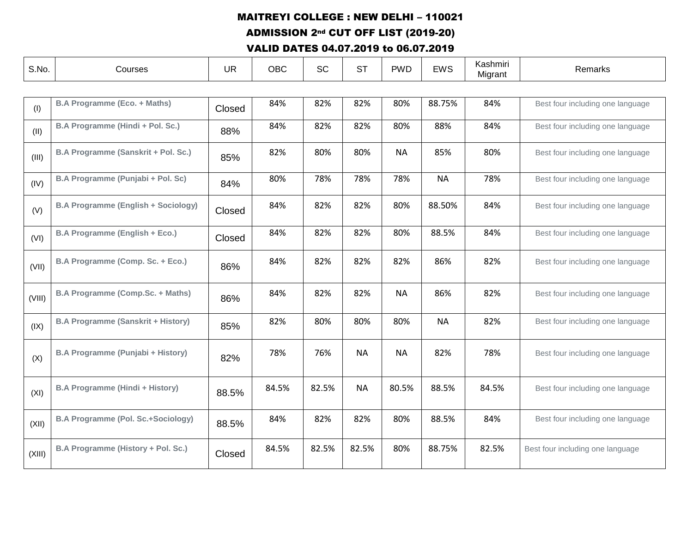ADMISSION 2nd CUT OFF LIST (2019-20)

| S.No.  | Courses                                    | <b>UR</b> | <b>OBC</b> | <b>SC</b> | <b>ST</b> | <b>PWD</b> | <b>EWS</b> | Kashmiri<br>Migrant | Remarks                          |  |
|--------|--------------------------------------------|-----------|------------|-----------|-----------|------------|------------|---------------------|----------------------------------|--|
|        |                                            |           |            |           |           |            |            |                     |                                  |  |
| (1)    | <b>B.A Programme (Eco. + Maths)</b>        | Closed    | 84%        | 82%       | 82%       | 80%        | 88.75%     | 84%                 | Best four including one language |  |
| (II)   | B.A Programme (Hindi + Pol. Sc.)           | 88%       | 84%        | 82%       | 82%       | 80%        | 88%        | 84%                 | Best four including one language |  |
| (III)  | B.A Programme (Sanskrit + Pol. Sc.)        | 85%       | 82%        | 80%       | 80%       | <b>NA</b>  | 85%        | 80%                 | Best four including one language |  |
| (IV)   | B.A Programme (Punjabi + Pol. Sc)          | 84%       | 80%        | 78%       | 78%       | 78%        | <b>NA</b>  | 78%                 | Best four including one language |  |
| (V)    | <b>B.A Programme (English + Sociology)</b> | Closed    | 84%        | 82%       | 82%       | 80%        | 88.50%     | 84%                 | Best four including one language |  |
| (VI)   | B.A Programme (English + Eco.)             | Closed    | 84%        | 82%       | 82%       | 80%        | 88.5%      | 84%                 | Best four including one language |  |
| (VII)  | B.A Programme (Comp. Sc. + Eco.)           | 86%       | 84%        | 82%       | 82%       | 82%        | 86%        | 82%                 | Best four including one language |  |
| (VIII) | <b>B.A Programme (Comp.Sc. + Maths)</b>    | 86%       | 84%        | 82%       | 82%       | <b>NA</b>  | 86%        | 82%                 | Best four including one language |  |
| (IX)   | <b>B.A Programme (Sanskrit + History)</b>  | 85%       | 82%        | 80%       | 80%       | 80%        | <b>NA</b>  | 82%                 | Best four including one language |  |
| (X)    | B.A Programme (Punjabi + History)          | 82%       | 78%        | 76%       | <b>NA</b> | <b>NA</b>  | 82%        | 78%                 | Best four including one language |  |
| (XI)   | <b>B.A Programme (Hindi + History)</b>     | 88.5%     | 84.5%      | 82.5%     | <b>NA</b> | 80.5%      | 88.5%      | 84.5%               | Best four including one language |  |
| (XII)  | <b>B.A Programme (Pol. Sc.+Sociology)</b>  | 88.5%     | 84%        | 82%       | 82%       | 80%        | 88.5%      | 84%                 | Best four including one language |  |
| (XIII) | B.A Programme (History + Pol. Sc.)         | Closed    | 84.5%      | 82.5%     | 82.5%     | 80%        | 88.75%     | 82.5%               | Best four including one language |  |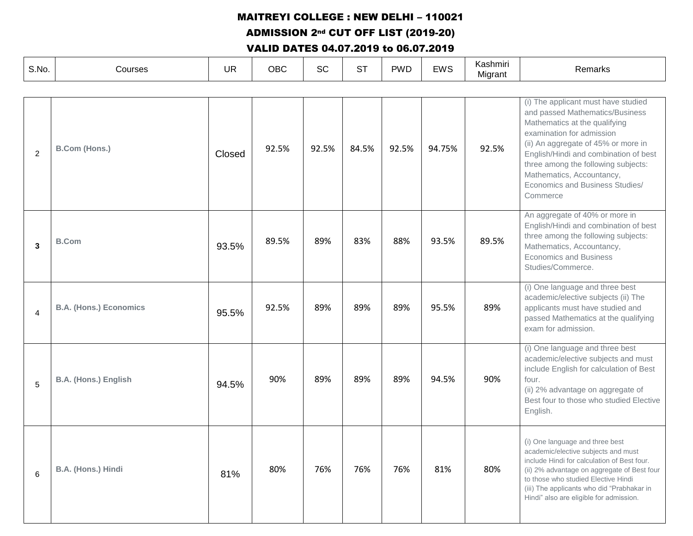ADMISSION 2nd CUT OFF LIST (2019-20)

| S.No.          | Courses                       | <b>UR</b> | <b>OBC</b> | SC    | <b>ST</b> | <b>PWD</b> | <b>EWS</b> | Kashmiri<br>Migrant | Remarks                                                                                                                                                                                                                                                                                                                                 |
|----------------|-------------------------------|-----------|------------|-------|-----------|------------|------------|---------------------|-----------------------------------------------------------------------------------------------------------------------------------------------------------------------------------------------------------------------------------------------------------------------------------------------------------------------------------------|
|                |                               |           |            |       |           |            |            |                     |                                                                                                                                                                                                                                                                                                                                         |
| $\overline{2}$ | <b>B.Com (Hons.)</b>          | Closed    | 92.5%      | 92.5% | 84.5%     | 92.5%      | 94.75%     | 92.5%               | (i) The applicant must have studied<br>and passed Mathematics/Business<br>Mathematics at the qualifying<br>examination for admission<br>(ii) An aggregate of 45% or more in<br>English/Hindi and combination of best<br>three among the following subjects:<br>Mathematics, Accountancy,<br>Economics and Business Studies/<br>Commerce |
| 3              | <b>B.Com</b>                  | 93.5%     | 89.5%      | 89%   | 83%       | 88%        | 93.5%      | 89.5%               | An aggregate of 40% or more in<br>English/Hindi and combination of best<br>three among the following subjects:<br>Mathematics, Accountancy,<br><b>Economics and Business</b><br>Studies/Commerce.                                                                                                                                       |
| 4              | <b>B.A. (Hons.) Economics</b> | 95.5%     | 92.5%      | 89%   | 89%       | 89%        | 95.5%      | 89%                 | (i) One language and three best<br>academic/elective subjects (ii) The<br>applicants must have studied and<br>passed Mathematics at the qualifying<br>exam for admission.                                                                                                                                                               |
| 5              | <b>B.A. (Hons.) English</b>   | 94.5%     | 90%        | 89%   | 89%       | 89%        | 94.5%      | 90%                 | (i) One language and three best<br>academic/elective subjects and must<br>include English for calculation of Best<br>four.<br>(ii) 2% advantage on aggregate of<br>Best four to those who studied Elective<br>English.                                                                                                                  |
| 6              | B.A. (Hons.) Hindi            | 81%       | 80%        | 76%   | 76%       | 76%        | 81%        | 80%                 | (i) One language and three best<br>academic/elective subjects and must<br>include Hindi for calculation of Best four.<br>(ii) 2% advantage on aggregate of Best four<br>to those who studied Elective Hindi<br>(iii) The applicants who did "Prabhakar in<br>Hindi" also are eligible for admission.                                    |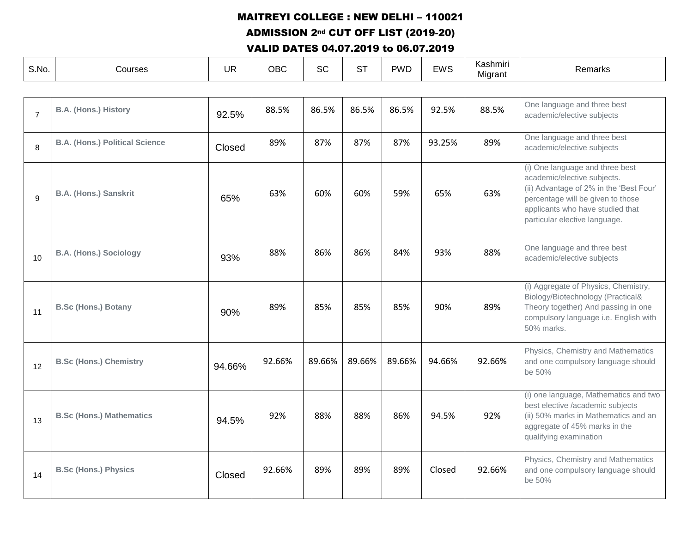ADMISSION 2nd CUT OFF LIST (2019-20)

| S.No.          | Courses                               | <b>UR</b> | <b>OBC</b> | <b>SC</b> | <b>ST</b> | <b>PWD</b> | <b>EWS</b> | Kashmiri<br>Migrant | Remarks                                                                                                                                                                                                             |
|----------------|---------------------------------------|-----------|------------|-----------|-----------|------------|------------|---------------------|---------------------------------------------------------------------------------------------------------------------------------------------------------------------------------------------------------------------|
|                |                                       |           |            |           |           |            |            |                     |                                                                                                                                                                                                                     |
| $\overline{7}$ | <b>B.A. (Hons.) History</b>           | 92.5%     | 88.5%      | 86.5%     | 86.5%     | 86.5%      | 92.5%      | 88.5%               | One language and three best<br>academic/elective subjects                                                                                                                                                           |
| 8              | <b>B.A. (Hons.) Political Science</b> | Closed    | 89%        | 87%       | 87%       | 87%        | 93.25%     | 89%                 | One language and three best<br>academic/elective subjects                                                                                                                                                           |
| 9              | <b>B.A. (Hons.) Sanskrit</b>          | 65%       | 63%        | 60%       | 60%       | 59%        | 65%        | 63%                 | (i) One language and three best<br>academic/elective subjects.<br>(ii) Advantage of 2% in the 'Best Four'<br>percentage will be given to those<br>applicants who have studied that<br>particular elective language. |
| 10             | <b>B.A. (Hons.) Sociology</b>         | 93%       | 88%        | 86%       | 86%       | 84%        | 93%        | 88%                 | One language and three best<br>academic/elective subjects                                                                                                                                                           |
| 11             | <b>B.Sc (Hons.) Botany</b>            | 90%       | 89%        | 85%       | 85%       | 85%        | 90%        | 89%                 | (i) Aggregate of Physics, Chemistry,<br>Biology/Biotechnology (Practical&<br>Theory together) And passing in one<br>compulsory language i.e. English with<br>50% marks.                                             |
| 12             | <b>B.Sc (Hons.) Chemistry</b>         | 94.66%    | 92.66%     | 89.66%    | 89.66%    | 89.66%     | 94.66%     | 92.66%              | Physics, Chemistry and Mathematics<br>and one compulsory language should<br>be 50%                                                                                                                                  |
| 13             | <b>B.Sc (Hons.) Mathematics</b>       | 94.5%     | 92%        | 88%       | 88%       | 86%        | 94.5%      | 92%                 | (i) one language, Mathematics and two<br>best elective /academic subjects<br>(ii) 50% marks in Mathematics and an<br>aggregate of 45% marks in the<br>qualifying examination                                        |
| 14             | <b>B.Sc (Hons.) Physics</b>           | Closed    | 92.66%     | 89%       | 89%       | 89%        | Closed     | 92.66%              | Physics, Chemistry and Mathematics<br>and one compulsory language should<br>be 50%                                                                                                                                  |